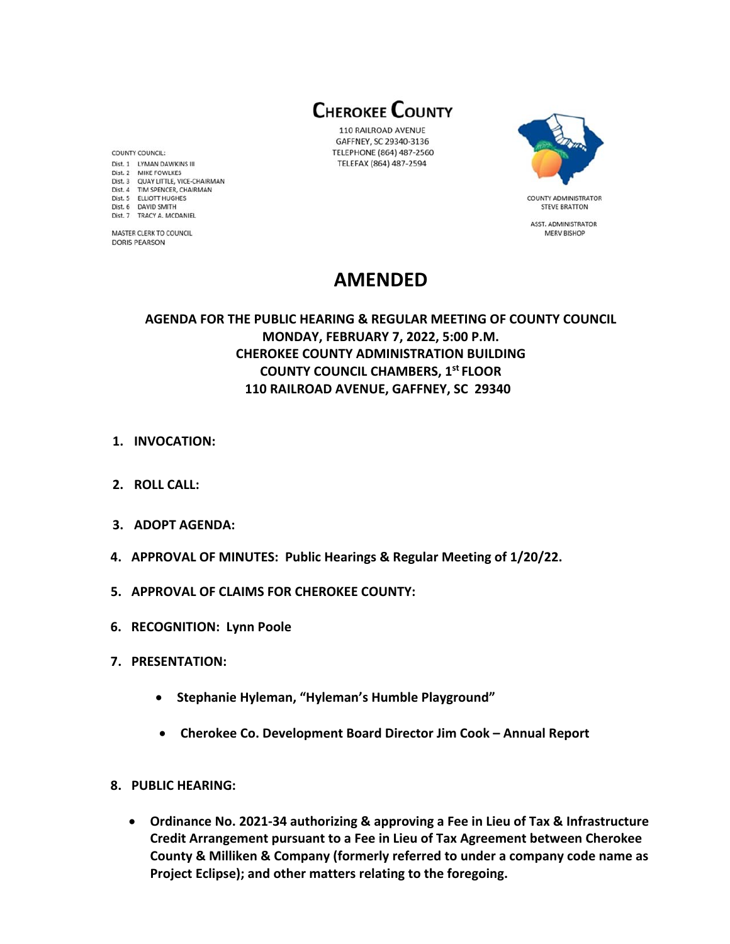**CHEROKEE COUNTY** 

110 RAILROAD AVENUE GAFFNEY, SC 29340-3136 TELEPHONE (864) 487-2560 TELEFAX (864) 487-2594



**STEVE BRATTON** ASST. ADMINISTRATOR **MERV BISHOP** 

# **AMENDED**

**AGENDA FOR THE PUBLIC HEARING & REGULAR MEETING OF COUNTY COUNCIL MONDAY, FEBRUARY 7, 2022, 5:00 P.M. CHEROKEE COUNTY ADMINISTRATION BUILDING COUNTY COUNCIL CHAMBERS, 1st FLOOR 110 RAILROAD AVENUE, GAFFNEY, SC 29340** 

- **1. INVOCATION:**
- **2. ROLL CALL:**
- **3. ADOPT AGENDA:**
- **4. APPROVAL OF MINUTES: Public Hearings & Regular Meeting of 1/20/22.**
- **5. APPROVAL OF CLAIMS FOR CHEROKEE COUNTY:**
- **6. RECOGNITION: Lynn Poole**
- **7. PRESENTATION:** 
	- **Stephanie Hyleman, "Hyleman's Humble Playground"**
	- **Cherokee Co. Development Board Director Jim Cook Annual Report**
- **8. PUBLIC HEARING:** 
	- **Ordinance No. 2021‐34 authorizing & approving a Fee in Lieu of Tax & Infrastructure Credit Arrangement pursuant to a Fee in Lieu of Tax Agreement between Cherokee County & Milliken & Company (formerly referred to under a company code name as Project Eclipse); and other matters relating to the foregoing.**

COUNTY COUNCIL: Dist. 1 LYMAN DAWKINS III Dist. 2 MIKE FOWLKES Dist. 2 WIRE POWERES<br>Dist. 3 QUAY LITTLE, VICE-CHAIRMAN<br>Dist. 4 TIM SPENCER, CHAIRMAN Dist. 5 ELLIOTT HUGHES Dist. 6 DAVID SMITH Dist. 7 TRACY A. MCDANIEL

MASTER CLERK TO COUNCIL **DORIS PEARSON**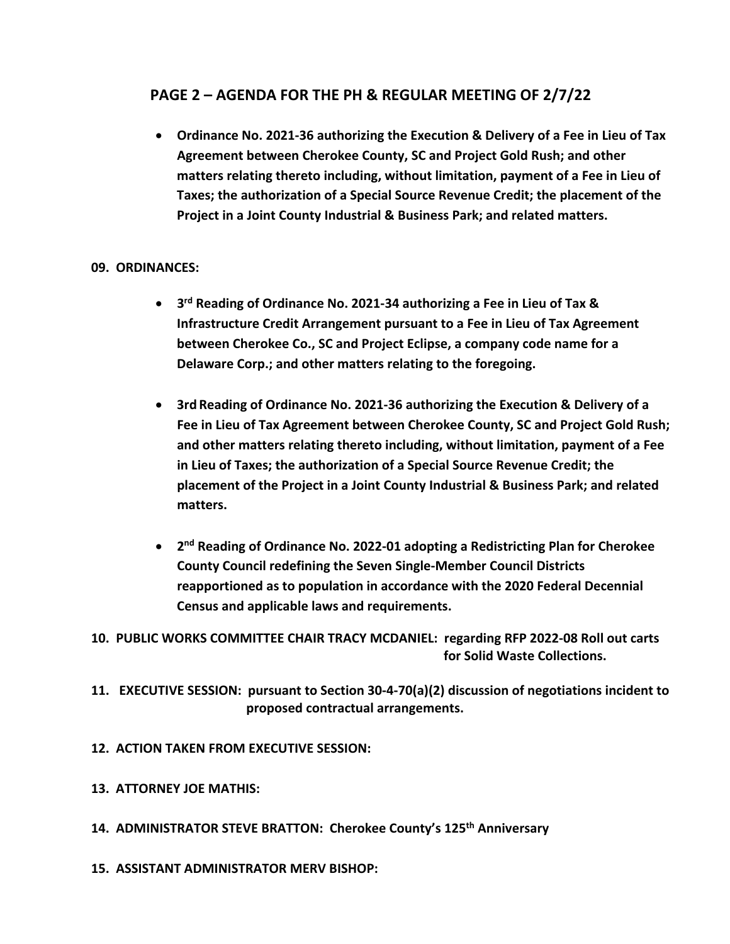## **PAGE 2 – AGENDA FOR THE PH & REGULAR MEETING OF 2/7/22**

 **Ordinance No. 2021‐36 authorizing the Execution & Delivery of a Fee in Lieu of Tax Agreement between Cherokee County, SC and Project Gold Rush; and other matters relating thereto including, without limitation, payment of a Fee in Lieu of Taxes; the authorization of a Special Source Revenue Credit; the placement of the Project in a Joint County Industrial & Business Park; and related matters.** 

#### **09. ORDINANCES:**

- **3rd Reading of Ordinance No. 2021‐34 authorizing a Fee in Lieu of Tax & Infrastructure Credit Arrangement pursuant to a Fee in Lieu of Tax Agreement between Cherokee Co., SC and Project Eclipse, a company code name for a Delaware Corp.; and other matters relating to the foregoing.**
- **3rd Reading of Ordinance No. 2021‐36 authorizing the Execution & Delivery of a Fee in Lieu of Tax Agreement between Cherokee County, SC and Project Gold Rush; and other matters relating thereto including, without limitation, payment of a Fee in Lieu of Taxes; the authorization of a Special Source Revenue Credit; the placement of the Project in a Joint County Industrial & Business Park; and related matters.**
- **2nd Reading of Ordinance No. 2022‐01 adopting a Redistricting Plan for Cherokee County Council redefining the Seven Single‐Member Council Districts reapportioned as to population in accordance with the 2020 Federal Decennial Census and applicable laws and requirements.**

**10. PUBLIC WORKS COMMITTEE CHAIR TRACY MCDANIEL: regarding RFP 2022‐08 Roll out carts for Solid Waste Collections.** 

- **11. EXECUTIVE SESSION: pursuant to Section 30‐4‐70(a)(2) discussion of negotiations incident to proposed contractual arrangements.**
- **12. ACTION TAKEN FROM EXECUTIVE SESSION:**
- **13. ATTORNEY JOE MATHIS:**
- **14. ADMINISTRATOR STEVE BRATTON: Cherokee County's 125th Anniversary**
- **15. ASSISTANT ADMINISTRATOR MERV BISHOP:**